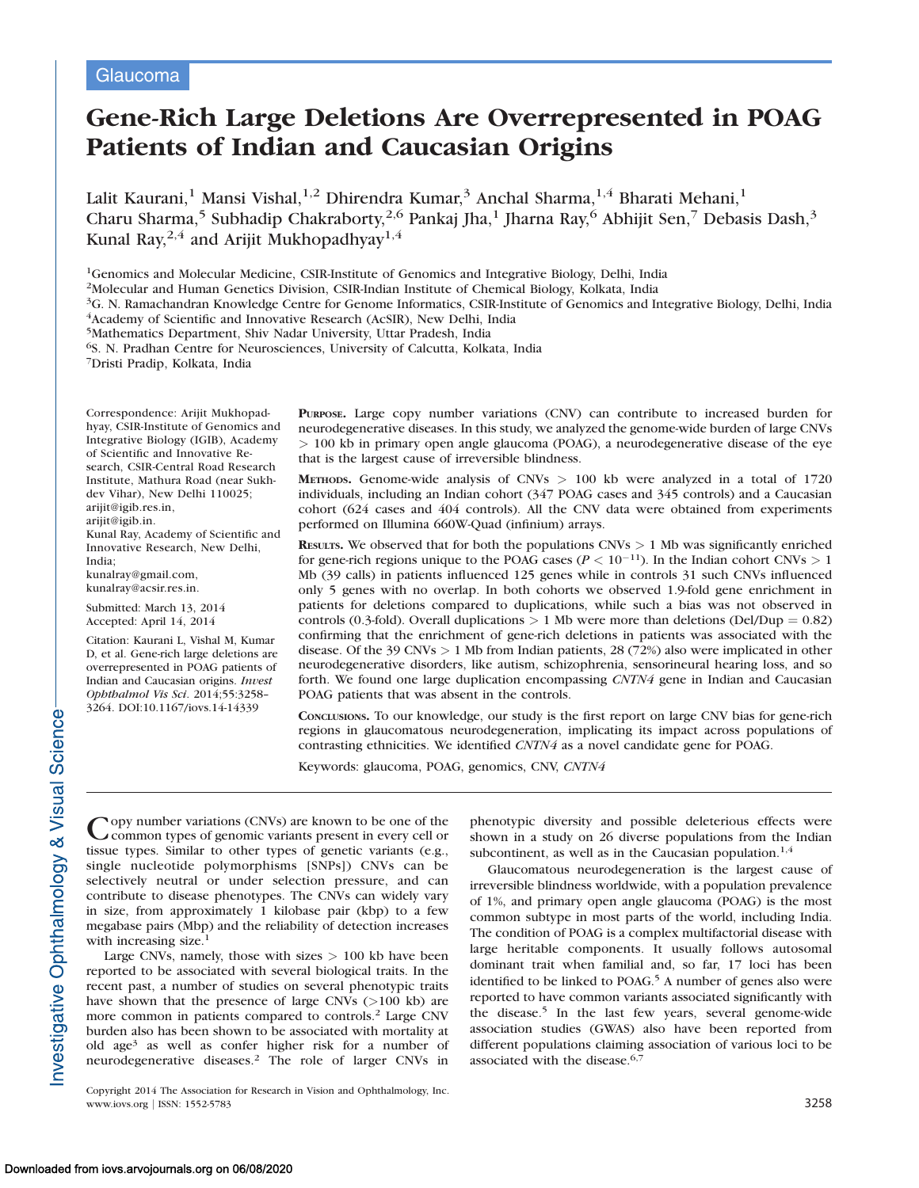## **Glaucoma**

# Gene-Rich Large Deletions Are Overrepresented in POAG Patients of Indian and Caucasian Origins

Lalit Kaurani,<sup>1</sup> Mansi Vishal,<sup>1,2</sup> Dhirendra Kumar,<sup>3</sup> Anchal Sharma,<sup>1,4</sup> Bharati Mehani,<sup>1</sup> Charu Sharma,<sup>5</sup> Subhadip Chakraborty,<sup>2,6</sup> Pankaj Jha,<sup>1</sup> Jharna Ray,<sup>6</sup> Abhijit Sen,<sup>7</sup> Debasis Dash,<sup>3</sup> Kunal Ray,  $^{2,4}$  and Arijit Mukhopadhyay<sup>1,4</sup>

<sup>1</sup>Genomics and Molecular Medicine, CSIR-Institute of Genomics and Integrative Biology, Delhi, India

2Molecular and Human Genetics Division, CSIR-Indian Institute of Chemical Biology, Kolkata, India

3G. N. Ramachandran Knowledge Centre for Genome Informatics, CSIR-Institute of Genomics and Integrative Biology, Delhi, India 4Academy of Scientific and Innovative Research (AcSIR), New Delhi, India

5Mathematics Department, Shiv Nadar University, Uttar Pradesh, India

6S. N. Pradhan Centre for Neurosciences, University of Calcutta, Kolkata, India

7Dristi Pradip, Kolkata, India

Correspondence: Arijit Mukhopadhyay, CSIR-Institute of Genomics and Integrative Biology (IGIB), Academy of Scientific and Innovative Research, CSIR-Central Road Research Institute, Mathura Road (near Sukhdev Vihar), New Delhi 110025; arijit@igib.res.in, arijit@igib.in. Kunal Ray, Academy of Scientific and

Innovative Research, New Delhi, India; kunalray@gmail.com,

kunalray@acsir.res.in.

Submitted: March 13, 2014 Accepted: April 14, 2014

Citation: Kaurani L, Vishal M, Kumar D, et al. Gene-rich large deletions are overrepresented in POAG patients of Indian and Caucasian origins. Invest Ophthalmol Vis Sci. 2014;55:3258– 3264. DOI:10.1167/iovs.14-14339

PURPOSE. Large copy number variations (CNV) can contribute to increased burden for neurodegenerative diseases. In this study, we analyzed the genome-wide burden of large CNVs > 100 kb in primary open angle glaucoma (POAG), a neurodegenerative disease of the eye that is the largest cause of irreversible blindness.

METHODS. Genome-wide analysis of CNVs  $> 100$  kb were analyzed in a total of 1720 individuals, including an Indian cohort (347 POAG cases and 345 controls) and a Caucasian cohort (624 cases and 404 controls). All the CNV data were obtained from experiments performed on Illumina 660W-Quad (infinium) arrays.

**RESULTS.** We observed that for both the populations CNVs  $> 1$  Mb was significantly enriched for gene-rich regions unique to the POAG cases ( $P < 10^{-11}$ ). In the Indian cohort CNVs  $> 1$ Mb (39 calls) in patients influenced 125 genes while in controls 31 such CNVs influenced only 5 genes with no overlap. In both cohorts we observed 1.9-fold gene enrichment in patients for deletions compared to duplications, while such a bias was not observed in controls (0.3-fold). Overall duplications  $> 1$  Mb were more than deletions (Del/Dup = 0.82) confirming that the enrichment of gene-rich deletions in patients was associated with the disease. Of the 39 CNVs > 1 Mb from Indian patients, 28 (72%) also were implicated in other neurodegenerative disorders, like autism, schizophrenia, sensorineural hearing loss, and so forth. We found one large duplication encompassing CNTN4 gene in Indian and Caucasian POAG patients that was absent in the controls.

CONCLUSIONS. To our knowledge, our study is the first report on large CNV bias for gene-rich regions in glaucomatous neurodegeneration, implicating its impact across populations of contrasting ethnicities. We identified CNTN4 as a novel candidate gene for POAG.

Keywords: glaucoma, POAG, genomics, CNV, CNTN4

Copy number variations (CNVs) are known to be one of the common types of genomic variants present in every cell or tissue types. Similar to other types of genetic variants (e.g., single nucleotide polymorphisms [SNPs]) CNVs can be selectively neutral or under selection pressure, and can contribute to disease phenotypes. The CNVs can widely vary in size, from approximately 1 kilobase pair (kbp) to a few megabase pairs (Mbp) and the reliability of detection increases with increasing size.<sup>1</sup>

Large CNVs, namely, those with sizes  $> 100$  kb have been reported to be associated with several biological traits. In the recent past, a number of studies on several phenotypic traits have shown that the presence of large CNVs (>100 kb) are more common in patients compared to controls.<sup>2</sup> Large CNV burden also has been shown to be associated with mortality at old age<sup>3</sup> as well as confer higher risk for a number of neurodegenerative diseases.<sup>2</sup> The role of larger CNVs in phenotypic diversity and possible deleterious effects were shown in a study on 26 diverse populations from the Indian subcontinent, as well as in the Caucasian population. $1,4$ 

Glaucomatous neurodegeneration is the largest cause of irreversible blindness worldwide, with a population prevalence of 1%, and primary open angle glaucoma (POAG) is the most common subtype in most parts of the world, including India. The condition of POAG is a complex multifactorial disease with large heritable components. It usually follows autosomal dominant trait when familial and, so far, 17 loci has been identified to be linked to POAG.<sup>5</sup> A number of genes also were reported to have common variants associated significantly with the disease.<sup>5</sup> In the last few years, several genome-wide association studies (GWAS) also have been reported from different populations claiming association of various loci to be associated with the disease.<sup>6,7</sup>

Copyright 2014 The Association for Research in Vision and Ophthalmology, Inc. www.iovs.org | ISSN: 1552-5783 3258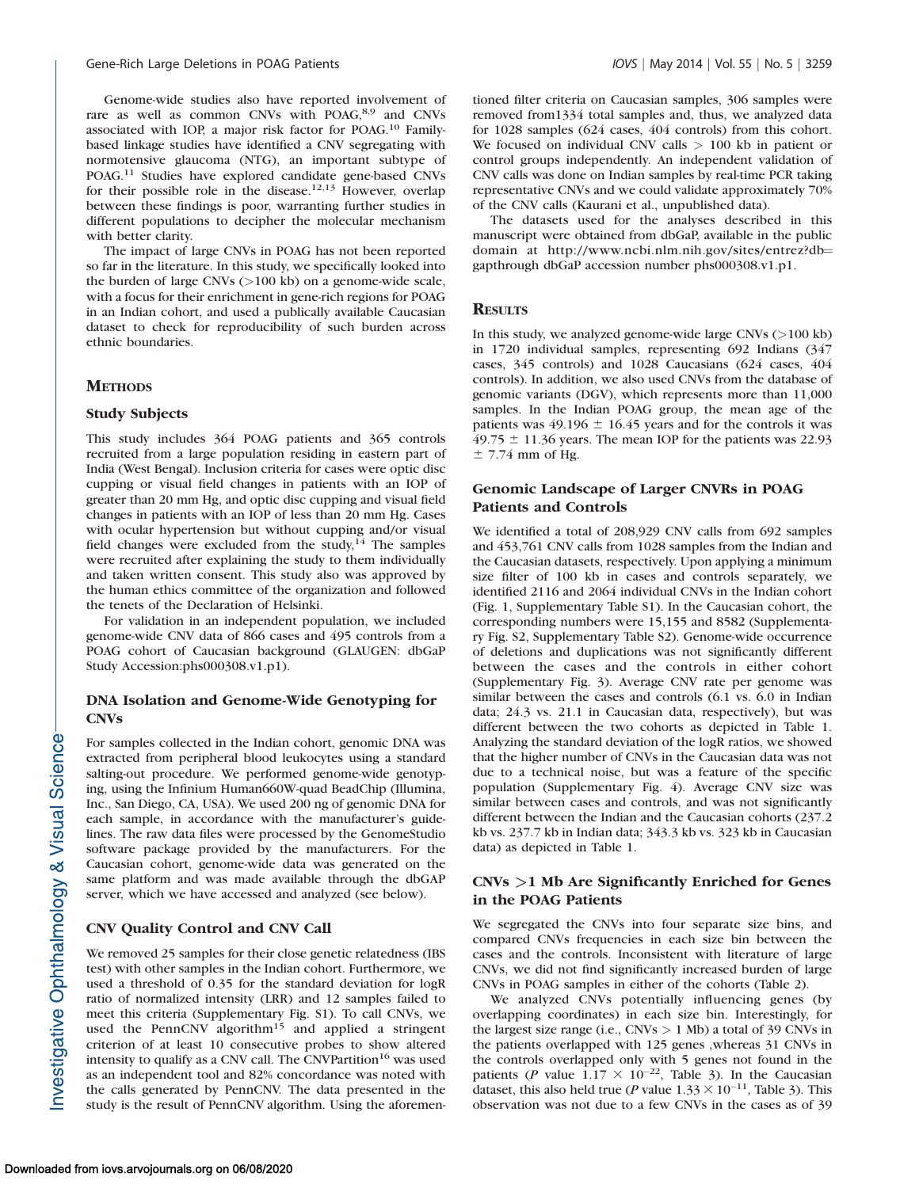Genome-wide studies also have reported involvement of rare as well as common CNVs with POAG,<sup>8,9</sup> and CNVs associated with IOP, a major risk factor for POAG.<sup>10</sup> Familybased linkage studies have identified a CNV segregating with normotensive glaucoma (NTG), an important subtype of POAG.11 Studies have explored candidate gene-based CNVs for their possible role in the disease.<sup>12,13</sup> However, overlap between these findings is poor, warranting further studies in different populations to decipher the molecular mechanism with better clarity.

The impact of large CNVs in POAG has not been reported so far in the literature. In this study, we specifically looked into the burden of large CNVs (>100 kb) on a genome-wide scale, with a focus for their enrichment in gene-rich regions for POAG in an Indian cohort, and used a publically available Caucasian dataset to check for reproducibility of such burden across ethnic boundaries.

#### **METHODS**

#### Study Subjects

This study includes 364 POAG patients and 365 controls recruited from a large population residing in eastern part of India (West Bengal). Inclusion criteria for cases were optic disc cupping or visual field changes in patients with an IOP of greater than 20 mm Hg, and optic disc cupping and visual field changes in patients with an IOP of less than 20 mm Hg. Cases with ocular hypertension but without cupping and/or visual field changes were excluded from the study, $^{14}$  The samples were recruited after explaining the study to them individually and taken written consent. This study also was approved by the human ethics committee of the organization and followed the tenets of the Declaration of Helsinki.

For validation in an independent population, we included genome-wide CNV data of 866 cases and 495 controls from a POAG cohort of Caucasian background (GLAUGEN: dbGaP Study Accession:phs000308.v1.p1).

#### DNA Isolation and Genome-Wide Genotyping for CNVs

For samples collected in the Indian cohort, genomic DNA was extracted from peripheral blood leukocytes using a standard salting-out procedure. We performed genome-wide genotyping, using the Infinium Human660W-quad BeadChip (Illumina, Inc., San Diego, CA, USA). We used 200 ng of genomic DNA for each sample, in accordance with the manufacturer's guidelines. The raw data files were processed by the GenomeStudio software package provided by the manufacturers. For the Caucasian cohort, genome-wide data was generated on the same platform and was made available through the dbGAP server, which we have accessed and analyzed (see below).

## CNV Quality Control and CNV Call

We removed 25 samples for their close genetic relatedness (IBS test) with other samples in the Indian cohort. Furthermore, we used a threshold of 0.35 for the standard deviation for logR ratio of normalized intensity (LRR) and 12 samples failed to meet this criteria ([Supplementary Fig. S1](http://www.iovs.org/content/55/5/3258/suppl/DC1)). To call CNVs, we used the PennCNV algorithm<sup>15</sup> and applied a stringent criterion of at least 10 consecutive probes to show altered intensity to qualify as a CNV call. The CNVPartition<sup>16</sup> was used as an independent tool and 82% concordance was noted with the calls generated by PennCNV. The data presented in the study is the result of PennCNV algorithm. Using the aforementioned filter criteria on Caucasian samples, 306 samples were removed from1334 total samples and, thus, we analyzed data for 1028 samples (624 cases, 404 controls) from this cohort. We focused on individual CNV calls  $> 100$  kb in patient or control groups independently. An independent validation of CNV calls was done on Indian samples by real-time PCR taking representative CNVs and we could validate approximately 70% of the CNV calls (Kaurani et al., unpublished data).

The datasets used for the analyses described in this manuscript were obtained from dbGaP, available in the public domain at http://www.ncbi.nlm.nih.gov/sites/entrez?db= gapthrough dbGaP accession number phs000308.v1.p1.

#### **RESULTS**

In this study, we analyzed genome-wide large CNVs (>100 kb) in 1720 individual samples, representing 692 Indians (347 cases, 345 controls) and 1028 Caucasians (624 cases, 404 controls). In addition, we also used CNVs from the database of genomic variants (DGV), which represents more than 11,000 samples. In the Indian POAG group, the mean age of the patients was  $49.196 \pm 16.45$  years and for the controls it was  $49.75 \pm 11.36$  years. The mean IOP for the patients was 22.93  $±$  7.74 mm of Hg.

#### Genomic Landscape of Larger CNVRs in POAG Patients and Controls

We identified a total of 208,929 CNV calls from 692 samples and 453,761 CNV calls from 1028 samples from the Indian and the Caucasian datasets, respectively. Upon applying a minimum size filter of 100 kb in cases and controls separately, we identified 2116 and 2064 individual CNVs in the Indian cohort (Fig. 1, [Supplementary Table S1\)](http://www.iovs.org/content/55/5/3258/suppl/DC1). In the Caucasian cohort, the corresponding numbers were 15,155 and 8582 ([Supplementa](http://www.iovs.org/content/55/5/3258/suppl/DC1)[ry Fig. S2, Supplementary Table S2](http://www.iovs.org/content/55/5/3258/suppl/DC1)). Genome-wide occurrence of deletions and duplications was not significantly different between the cases and the controls in either cohort [\(Supplementary Fig. 3\)](http://www.iovs.org/content/55/5/3258/suppl/DC1). Average CNV rate per genome was similar between the cases and controls (6.1 vs. 6.0 in Indian data; 24.3 vs. 21.1 in Caucasian data, respectively), but was different between the two cohorts as depicted in Table 1. Analyzing the standard deviation of the logR ratios, we showed that the higher number of CNVs in the Caucasian data was not due to a technical noise, but was a feature of the specific population [\(Supplementary Fig. 4\)](http://www.iovs.org/content/55/5/3258/suppl/DC1). Average CNV size was similar between cases and controls, and was not significantly different between the Indian and the Caucasian cohorts (237.2 kb vs. 237.7 kb in Indian data; 343.3 kb vs. 323 kb in Caucasian data) as depicted in Table 1.

## CNVs >1 Mb Are Significantly Enriched for Genes in the POAG Patients

We segregated the CNVs into four separate size bins, and compared CNVs frequencies in each size bin between the cases and the controls. Inconsistent with literature of large CNVs, we did not find significantly increased burden of large CNVs in POAG samples in either of the cohorts (Table 2).

We analyzed CNVs potentially influencing genes (by overlapping coordinates) in each size bin. Interestingly, for the largest size range (i.e.,  $CNVs > 1$  Mb) a total of 39 CNVs in the patients overlapped with 125 genes ,whereas 31 CNVs in the controls overlapped only with 5 genes not found in the patients (P value  $1.17 \times 10^{-22}$ , Table 3). In the Caucasian dataset, this also held true (*P* value  $1.33 \times 10^{-11}$ , Table 3). This observation was not due to a few CNVs in the cases as of 39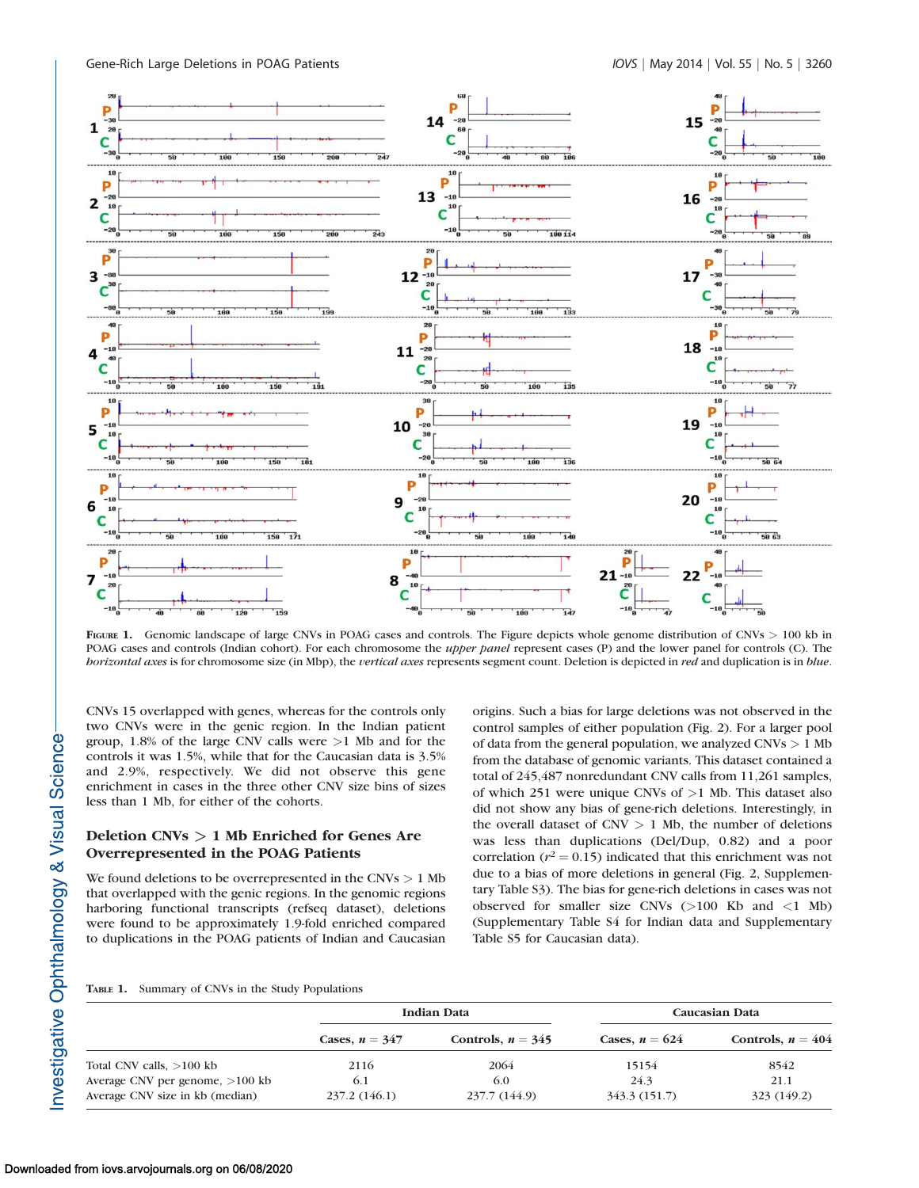

FIGURE 1. Genomic landscape of large CNVs in POAG cases and controls. The Figure depicts whole genome distribution of CNVs > 100 kb in POAG cases and controls (Indian cohort). For each chromosome the upper panel represent cases (P) and the lower panel for controls (C). The horizontal axes is for chromosome size (in Mbp), the vertical axes represents segment count. Deletion is depicted in red and duplication is in blue.

CNVs 15 overlapped with genes, whereas for the controls only two CNVs were in the genic region. In the Indian patient group, 1.8% of the large CNV calls were >1 Mb and for the controls it was 1.5%, while that for the Caucasian data is 3.5% and 2.9%, respectively. We did not observe this gene enrichment in cases in the three other CNV size bins of sizes less than 1 Mb, for either of the cohorts.

## Deletion CNVs > 1 Mb Enriched for Genes Are Overrepresented in the POAG Patients

We found deletions to be overrepresented in the CNVs  $> 1$  Mb that overlapped with the genic regions. In the genomic regions harboring functional transcripts (refseq dataset), deletions were found to be approximately 1.9-fold enriched compared to duplications in the POAG patients of Indian and Caucasian

origins. Such a bias for large deletions was not observed in the control samples of either population (Fig. 2). For a larger pool of data from the general population, we analyzed CNVs > 1 Mb from the database of genomic variants. This dataset contained a total of 245,487 nonredundant CNV calls from 11,261 samples, of which 251 were unique CNVs of >1 Mb. This dataset also did not show any bias of gene-rich deletions. Interestingly, in the overall dataset of  $CNV > 1$  Mb, the number of deletions was less than duplications (Del/Dup, 0.82) and a poor correlation ( $r^2 = 0.15$ ) indicated that this enrichment was not due to a bias of more deletions in general (Fig. 2, [Supplemen](http://www.iovs.org/content/55/5/3258/suppl/DC1)[tary Table S3\)](http://www.iovs.org/content/55/5/3258/suppl/DC1). The bias for gene-rich deletions in cases was not observed for smaller size CNVs (>100 Kb and <1 Mb) [\(Supplementary Table S4](http://www.iovs.org/content/55/5/3258/suppl/DC1) for Indian data and [Supplementary](http://www.iovs.org/content/55/5/3258/suppl/DC1) [Table S5](http://www.iovs.org/content/55/5/3258/suppl/DC1) for Caucasian data).

#### TABLE 1. Summary of CNVs in the Study Populations

|                                                                      | <b>Indian Data</b>   |                      | Caucasian Data        |                     |  |
|----------------------------------------------------------------------|----------------------|----------------------|-----------------------|---------------------|--|
|                                                                      | Cases, $n = 347$     | Controls, $n = 345$  | Cases, $n = 624$      | Controls, $n = 404$ |  |
| Total CNV calls, $>100$ kb                                           | 2116                 | 2064                 | 15154                 | 8542                |  |
| Average CNV per genome, $>100$ kb<br>Average CNV size in kb (median) | 6.1<br>237.2 (146.1) | 6.0<br>237.7 (144.9) | 24.3<br>343.3 (151.7) | 21.1<br>323 (149.2) |  |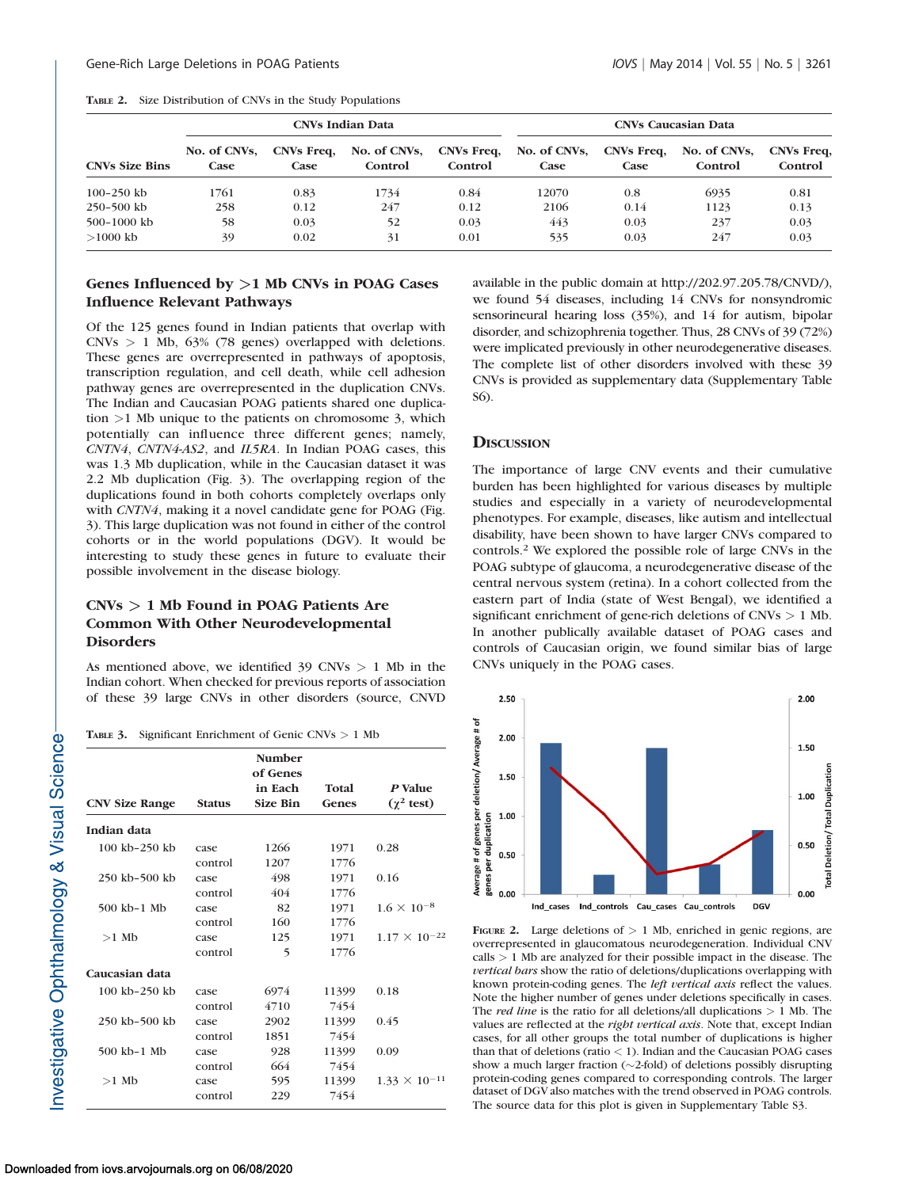|  | <b>TABLE 2.</b> Size Distribution of CNVs in the Study Populations |  |  |  |
|--|--------------------------------------------------------------------|--|--|--|
|--|--------------------------------------------------------------------|--|--|--|

|                       | <b>CNVs Indian Data</b> |                           |                         |                              | <b>CNVs Caucasian Data</b> |                    |                         |                       |
|-----------------------|-------------------------|---------------------------|-------------------------|------------------------------|----------------------------|--------------------|-------------------------|-----------------------|
| <b>CNVs Size Bins</b> | No. of CNVs.<br>Case    | CNVs Freq.<br><b>Case</b> | No. of CNVs,<br>Control | <b>CNVs Freq.</b><br>Control | No. of CNVs,<br>Case       | CNVs Freq.<br>Case | No. of CNVs.<br>Control | CNVs Freq,<br>Control |
| $100 - 250$ kb        | 1761                    | 0.83                      | 1734                    | 0.84                         | 12070                      | 0.8                | 6935                    | 0.81                  |
| $250 - 500$ kb        | 258                     | 0.12                      | 247                     | 0.12                         | 2106                       | 0.14               | 1123                    | 0.13                  |
| $500-1000$ kb         | 58                      | 0.03                      | 52                      | 0.03                         | 443                        | 0.03               | 237                     | 0.03                  |
| $>1000$ kb            | 39                      | 0.02                      | 31                      | 0.01                         | 535                        | 0.03               | 247                     | 0.03                  |

## Genes Influenced by  $>1$  Mb CNVs in POAG Cases Influence Relevant Pathways

Of the 125 genes found in Indian patients that overlap with CNVs > 1 Mb, 63% (78 genes) overlapped with deletions. These genes are overrepresented in pathways of apoptosis, transcription regulation, and cell death, while cell adhesion pathway genes are overrepresented in the duplication CNVs. The Indian and Caucasian POAG patients shared one duplication >1 Mb unique to the patients on chromosome 3, which potentially can influence three different genes; namely, CNTN4, CNTN4-AS2, and IL5RA. In Indian POAG cases, this was 1.3 Mb duplication, while in the Caucasian dataset it was 2.2 Mb duplication (Fig. 3). The overlapping region of the duplications found in both cohorts completely overlaps only with CNTN4, making it a novel candidate gene for POAG (Fig. 3). This large duplication was not found in either of the control cohorts or in the world populations (DGV). It would be interesting to study these genes in future to evaluate their possible involvement in the disease biology.

## CNVs > 1 Mb Found in POAG Patients Are Common With Other Neurodevelopmental Disorders

As mentioned above, we identified  $39 \text{ CNVs} > 1$  Mb in the Indian cohort. When checked for previous reports of association of these 39 large CNVs in other disorders (source, CNVD

TABLE 3. Significant Enrichment of Genic CNVs > 1 Mb

| <b>CNV Size Range</b> | <b>Status</b> | <b>Number</b><br>of Genes<br>in Each<br><b>Size Bin</b> | Total<br>Genes | P Value<br>$(\gamma^2$ test) |
|-----------------------|---------------|---------------------------------------------------------|----------------|------------------------------|
| Indian data           |               |                                                         |                |                              |
| 100 kb-250 kb         | case          | 1266                                                    | 1971           | 0.28                         |
|                       | control       | 1207                                                    | 1776           |                              |
| 250 kb-500 kb         | case          | 498                                                     | 1971           | 0.16                         |
|                       | control       | 404                                                     | 1776           |                              |
| 500 kb-1 Mb           | case          | 82                                                      | 1971           | $1.6 \times 10^{-8}$         |
|                       | control       | 160                                                     | 1776           |                              |
| $>1$ Mb               | case          | 125                                                     | 1971           | $1.17 \times 10^{-22}$       |
|                       | control       | 5                                                       | 1776           |                              |
| Caucasian data        |               |                                                         |                |                              |
| 100 kb-250 kb         | case          | 6974                                                    | 11399          | 0.18                         |
|                       | control       | 4710                                                    | 7454           |                              |
| 250 kb-500 kb         | case          | 2902                                                    | 11399          | 0.45                         |
|                       | control       | 1851                                                    | 7454           |                              |
| 500 kb-1 Mb           | case          | 928                                                     | 11399          | 0.09                         |
|                       | control       | 664                                                     | 7454           |                              |
| $>1$ Mb               | case          | 595                                                     | 11399          | $1.33 \times 10^{-11}$       |
|                       | control       | 229                                                     | 7454           |                              |

available in the public domain at http://202.97.205.78/CNVD/), we found 54 diseases, including 14 CNVs for nonsyndromic sensorineural hearing loss (35%), and 14 for autism, bipolar disorder, and schizophrenia together. Thus, 28 CNVs of 39 (72%) were implicated previously in other neurodegenerative diseases. The complete list of other disorders involved with these 39 CNVs is provided as supplementary data [\(Supplementary Table](http://www.iovs.org/content/55/5/3258/suppl/DC1) [S6\)](http://www.iovs.org/content/55/5/3258/suppl/DC1).

#### **DISCUSSION**

The importance of large CNV events and their cumulative burden has been highlighted for various diseases by multiple studies and especially in a variety of neurodevelopmental phenotypes. For example, diseases, like autism and intellectual disability, have been shown to have larger CNVs compared to controls.<sup>2</sup> We explored the possible role of large CNVs in the POAG subtype of glaucoma, a neurodegenerative disease of the central nervous system (retina). In a cohort collected from the eastern part of India (state of West Bengal), we identified a significant enrichment of gene-rich deletions of CNVs > 1 Mb. In another publically available dataset of POAG cases and controls of Caucasian origin, we found similar bias of large CNVs uniquely in the POAG cases.



FIGURE 2. Large deletions of  $> 1$  Mb, enriched in genic regions, are overrepresented in glaucomatous neurodegeneration. Individual CNV calls > 1 Mb are analyzed for their possible impact in the disease. The vertical bars show the ratio of deletions/duplications overlapping with known protein-coding genes. The *left vertical axis* reflect the values. Note the higher number of genes under deletions specifically in cases. The *red line* is the ratio for all deletions/all duplications  $> 1$  Mb. The values are reflected at the right vertical axis. Note that, except Indian cases, for all other groups the total number of duplications is higher than that of deletions (ratio  $<$  1). Indian and the Caucasian POAG cases show a much larger fraction  $(\sim2$ -fold) of deletions possibly disrupting protein-coding genes compared to corresponding controls. The larger dataset of DGV also matches with the trend observed in POAG controls. The source data for this plot is given in [Supplementary Table S3](http://www.iovs.org/content/55/5/3258/suppl/DC1).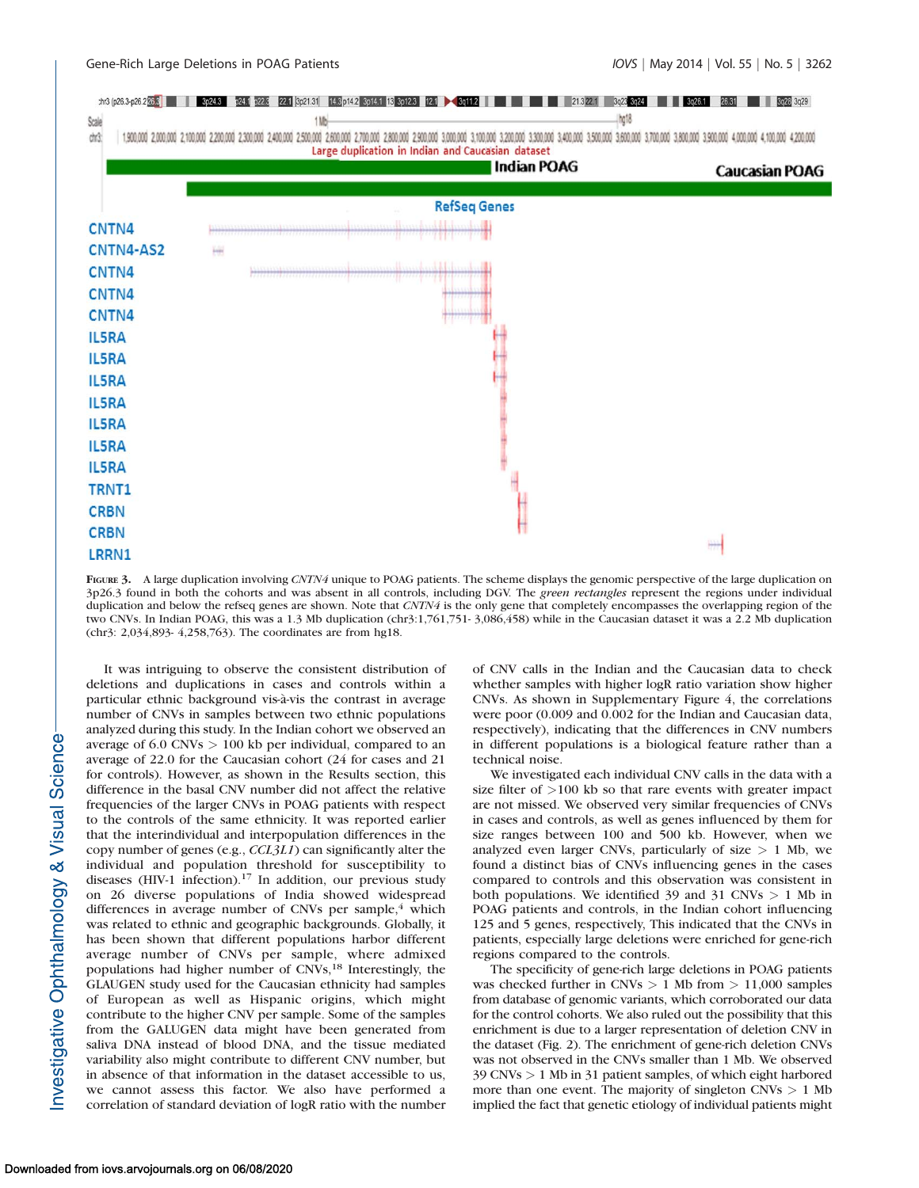

FIGURE 3. A large duplication involving CNTN4 unique to POAG patients. The scheme displays the genomic perspective of the large duplication on 3p26.3 found in both the cohorts and was absent in all controls, including DGV. The green rectangles represent the regions under individual duplication and below the refseq genes are shown. Note that CNTN4 is the only gene that completely encompasses the overlapping region of the two CNVs. In Indian POAG, this was a 1.3 Mb duplication (chr3:1,761,751- 3,086,458) while in the Caucasian dataset it was a 2.2 Mb duplication (chr3: 2,034,893- 4,258,763). The coordinates are from hg18.

nvestigative Ophthalmology & Visual Science

It was intriguing to observe the consistent distribution of deletions and duplications in cases and controls within a particular ethnic background vis-à-vis the contrast in average number of CNVs in samples between two ethnic populations analyzed during this study. In the Indian cohort we observed an average of  $6.0 \text{ CNVs} > 100 \text{ kb}$  per individual, compared to an average of 22.0 for the Caucasian cohort (24 for cases and 21 for controls). However, as shown in the Results section, this difference in the basal CNV number did not affect the relative frequencies of the larger CNVs in POAG patients with respect to the controls of the same ethnicity. It was reported earlier that the interindividual and interpopulation differences in the copy number of genes (e.g., CCL3L1) can significantly alter the individual and population threshold for susceptibility to diseases (HIV-1 infection).<sup>17</sup> In addition, our previous study on 26 diverse populations of India showed widespread differences in average number of CNVs per sample, $4$  which was related to ethnic and geographic backgrounds. Globally, it has been shown that different populations harbor different average number of CNVs per sample, where admixed populations had higher number of CNVs,<sup>18</sup> Interestingly, the GLAUGEN study used for the Caucasian ethnicity had samples of European as well as Hispanic origins, which might contribute to the higher CNV per sample. Some of the samples from the GALUGEN data might have been generated from saliva DNA instead of blood DNA, and the tissue mediated variability also might contribute to different CNV number, but in absence of that information in the dataset accessible to us, we cannot assess this factor. We also have performed a correlation of standard deviation of logR ratio with the number

of CNV calls in the Indian and the Caucasian data to check whether samples with higher logR ratio variation show higher CNVs. As shown in [Supplementary Figure 4,](http://www.iovs.org/content/55/5/3258/suppl/DC1) the correlations were poor (0.009 and 0.002 for the Indian and Caucasian data, respectively), indicating that the differences in CNV numbers in different populations is a biological feature rather than a technical noise.

We investigated each individual CNV calls in the data with a size filter of >100 kb so that rare events with greater impact are not missed. We observed very similar frequencies of CNVs in cases and controls, as well as genes influenced by them for size ranges between 100 and 500 kb. However, when we analyzed even larger CNVs, particularly of size > 1 Mb, we found a distinct bias of CNVs influencing genes in the cases compared to controls and this observation was consistent in both populations. We identified 39 and 31 CNVs  $> 1$  Mb in POAG patients and controls, in the Indian cohort influencing 125 and 5 genes, respectively, This indicated that the CNVs in patients, especially large deletions were enriched for gene-rich regions compared to the controls.

The specificity of gene-rich large deletions in POAG patients was checked further in CNVs  $> 1$  Mb from  $> 11,000$  samples from database of genomic variants, which corroborated our data for the control cohorts. We also ruled out the possibility that this enrichment is due to a larger representation of deletion CNV in the dataset (Fig. 2). The enrichment of gene-rich deletion CNVs was not observed in the CNVs smaller than 1 Mb. We observed 39 CNVs > 1 Mb in 31 patient samples, of which eight harbored more than one event. The majority of singleton  $CNVs > 1 Mb$ implied the fact that genetic etiology of individual patients might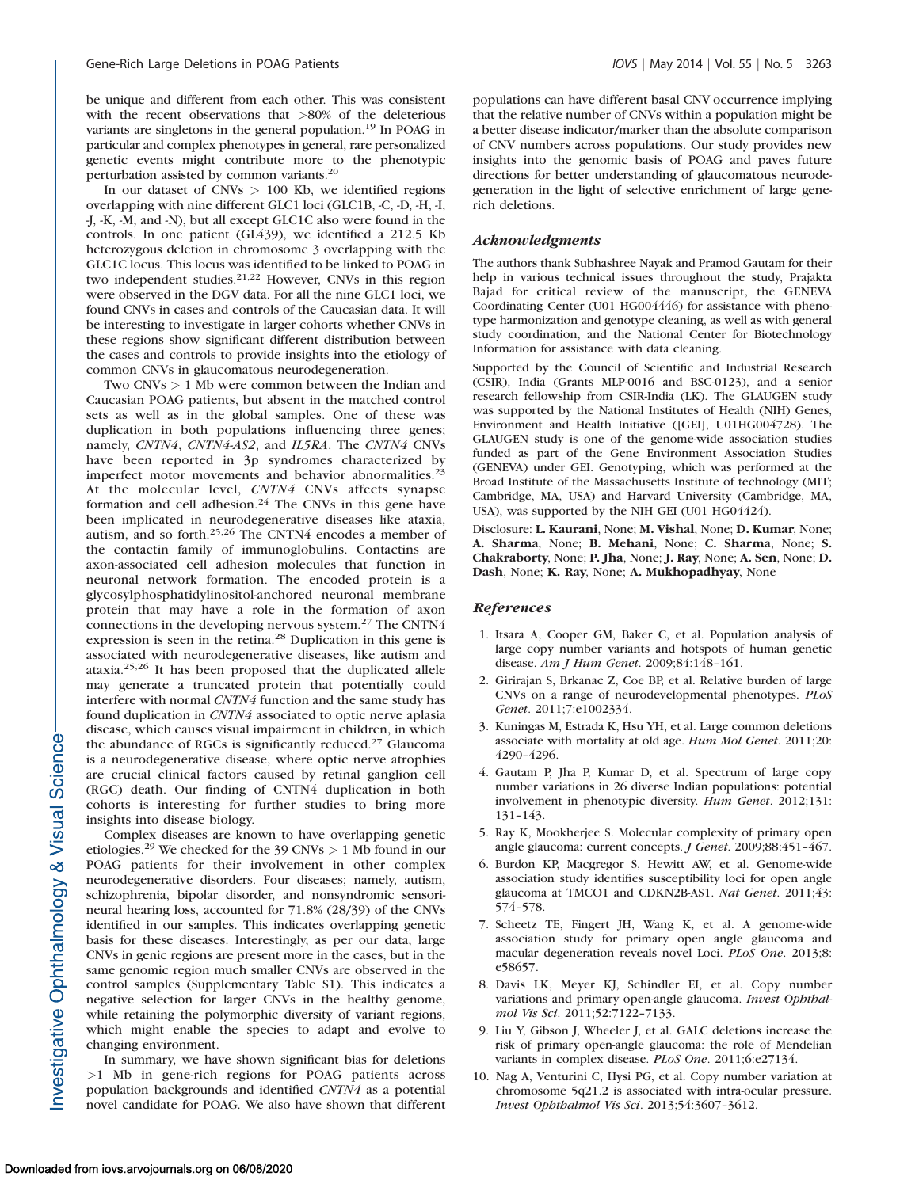be unique and different from each other. This was consistent with the recent observations that >80% of the deleterious variants are singletons in the general population.19 In POAG in particular and complex phenotypes in general, rare personalized genetic events might contribute more to the phenotypic perturbation assisted by common variants.20

In our dataset of CNVs  $> 100$  Kb, we identified regions overlapping with nine different GLC1 loci (GLC1B, -C, -D, -H, -I, -J, -K, -M, and -N), but all except GLC1C also were found in the controls. In one patient (GL439), we identified a 212.5 Kb heterozygous deletion in chromosome 3 overlapping with the GLC1C locus. This locus was identified to be linked to POAG in two independent studies.<sup>21,22</sup> However, CNVs in this region were observed in the DGV data. For all the nine GLC1 loci, we found CNVs in cases and controls of the Caucasian data. It will be interesting to investigate in larger cohorts whether CNVs in these regions show significant different distribution between the cases and controls to provide insights into the etiology of common CNVs in glaucomatous neurodegeneration.

Two CNVs > 1 Mb were common between the Indian and Caucasian POAG patients, but absent in the matched control sets as well as in the global samples. One of these was duplication in both populations influencing three genes; namely, CNTN4, CNTN4-AS2, and IL5RA. The CNTN4 CNVs have been reported in 3p syndromes characterized by imperfect motor movements and behavior abnormalities.<sup>23</sup> At the molecular level, CNTN4 CNVs affects synapse formation and cell adhesion.<sup>24</sup> The CNVs in this gene have been implicated in neurodegenerative diseases like ataxia, autism, and so forth.25,26 The CNTN4 encodes a member of the contactin family of immunoglobulins. Contactins are axon-associated cell adhesion molecules that function in neuronal network formation. The encoded protein is a glycosylphosphatidylinositol-anchored neuronal membrane protein that may have a role in the formation of axon connections in the developing nervous system.<sup>27</sup> The CNTN4 expression is seen in the retina.<sup>28</sup> Duplication in this gene is associated with neurodegenerative diseases, like autism and ataxia.25,26 It has been proposed that the duplicated allele may generate a truncated protein that potentially could interfere with normal CNTN4 function and the same study has found duplication in CNTN4 associated to optic nerve aplasia disease, which causes visual impairment in children, in which the abundance of RGCs is significantly reduced.<sup>27</sup> Glaucoma is a neurodegenerative disease, where optic nerve atrophies are crucial clinical factors caused by retinal ganglion cell (RGC) death. Our finding of CNTN4 duplication in both cohorts is interesting for further studies to bring more insights into disease biology.

Complex diseases are known to have overlapping genetic etiologies.<sup>29</sup> We checked for the 39 CNVs  $> 1$  Mb found in our POAG patients for their involvement in other complex neurodegenerative disorders. Four diseases; namely, autism, schizophrenia, bipolar disorder, and nonsyndromic sensorineural hearing loss, accounted for 71.8% (28/39) of the CNVs identified in our samples. This indicates overlapping genetic basis for these diseases. Interestingly, as per our data, large CNVs in genic regions are present more in the cases, but in the same genomic region much smaller CNVs are observed in the control samples ([Supplementary Table S1\)](http://www.iovs.org/content/55/5/3258/suppl/DC1). This indicates a negative selection for larger CNVs in the healthy genome, while retaining the polymorphic diversity of variant regions, which might enable the species to adapt and evolve to changing environment.

In summary, we have shown significant bias for deletions >1 Mb in gene-rich regions for POAG patients across population backgrounds and identified CNTN4 as a potential novel candidate for POAG. We also have shown that different populations can have different basal CNV occurrence implying that the relative number of CNVs within a population might be a better disease indicator/marker than the absolute comparison of CNV numbers across populations. Our study provides new insights into the genomic basis of POAG and paves future directions for better understanding of glaucomatous neurodegeneration in the light of selective enrichment of large generich deletions.

#### Acknowledgments

The authors thank Subhashree Nayak and Pramod Gautam for their help in various technical issues throughout the study, Prajakta Bajad for critical review of the manuscript, the GENEVA Coordinating Center (U01 HG004446) for assistance with phenotype harmonization and genotype cleaning, as well as with general study coordination, and the National Center for Biotechnology Information for assistance with data cleaning.

Supported by the Council of Scientific and Industrial Research (CSIR), India (Grants MLP-0016 and BSC-0123), and a senior research fellowship from CSIR-India (LK). The GLAUGEN study was supported by the National Institutes of Health (NIH) Genes, Environment and Health Initiative ([GEI], U01HG004728). The GLAUGEN study is one of the genome-wide association studies funded as part of the Gene Environment Association Studies (GENEVA) under GEI. Genotyping, which was performed at the Broad Institute of the Massachusetts Institute of technology (MIT; Cambridge, MA, USA) and Harvard University (Cambridge, MA, USA), was supported by the NIH GEI (U01 HG04424).

Disclosure: L. Kaurani, None; M. Vishal, None; D. Kumar, None; A. Sharma, None; B. Mehani, None; C. Sharma, None; S. Chakraborty, None; P. Jha, None; J. Ray, None; A. Sen, None; D. Dash, None; K. Ray, None; A. Mukhopadhyay, None

#### **References**

- 1. Itsara A, Cooper GM, Baker C, et al. Population analysis of large copy number variants and hotspots of human genetic disease. Am J Hum Genet. 2009;84:148–161.
- 2. Girirajan S, Brkanac Z, Coe BP, et al. Relative burden of large CNVs on a range of neurodevelopmental phenotypes. PLoS Genet. 2011;7:e1002334.
- 3. Kuningas M, Estrada K, Hsu YH, et al. Large common deletions associate with mortality at old age. Hum Mol Genet. 2011;20: 4290–4296.
- 4. Gautam P, Jha P, Kumar D, et al. Spectrum of large copy number variations in 26 diverse Indian populations: potential involvement in phenotypic diversity. Hum Genet. 2012;131: 131–143.
- 5. Ray K, Mookherjee S. Molecular complexity of primary open angle glaucoma: current concepts. J Genet. 2009;88:451–467.
- 6. Burdon KP, Macgregor S, Hewitt AW, et al. Genome-wide association study identifies susceptibility loci for open angle glaucoma at TMCO1 and CDKN2B-AS1. Nat Genet. 2011;43: 574–578.
- 7. Scheetz TE, Fingert JH, Wang K, et al. A genome-wide association study for primary open angle glaucoma and macular degeneration reveals novel Loci. PLoS One. 2013;8: e58657.
- 8. Davis LK, Meyer KJ, Schindler EI, et al. Copy number variations and primary open-angle glaucoma. Invest Ophthalmol Vis Sci. 2011;52:7122–7133.
- 9. Liu Y, Gibson J, Wheeler J, et al. GALC deletions increase the risk of primary open-angle glaucoma: the role of Mendelian variants in complex disease. PLoS One. 2011;6:e27134.
- 10. Nag A, Venturini C, Hysi PG, et al. Copy number variation at chromosome 5q21.2 is associated with intra-ocular pressure. Invest Ophthalmol Vis Sci. 2013;54:3607–3612.